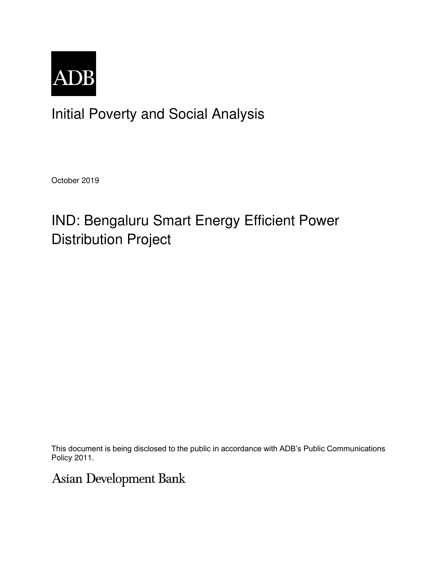

Initial Poverty and Social Analysis

October 2019

# IND: Bengaluru Smart Energy Efficient Power Distribution Project

This document is being disclosed to the public in accordance with ADB's Public Communications Policy 2011.

Asian Development Bank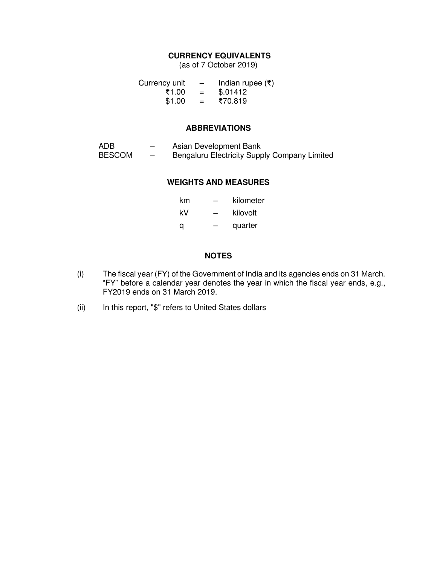## **CURRENCY EQUIVALENTS**

(as of 7 October 2019)

| Currency unit | $\overline{\phantom{0}}$ | Indian rupee $(\bar{\tau})$ |
|---------------|--------------------------|-----------------------------|
| ₹1.00         | $=$                      | \$.01412                    |
| \$1.00        | $=$                      | ₹70.819                     |

#### **ABBREVIATIONS**

| ADB           | $\overline{\phantom{0}}$ | Asian Development Bank                       |
|---------------|--------------------------|----------------------------------------------|
| <b>BESCOM</b> | $\overline{\phantom{0}}$ | Bengaluru Electricity Supply Company Limited |

#### **WEIGHTS AND MEASURES**

| km |   | kilometer |
|----|---|-----------|
| kV | - | kilovolt  |
| a  |   | quarter   |

## **NOTES**

- (i) The fiscal year (FY) of the Government of India and its agencies ends on 31 March. "FY" before a calendar year denotes the year in which the fiscal year ends, e.g., FY2019 ends on 31 March 2019.
- (ii) In this report, "\$" refers to United States dollars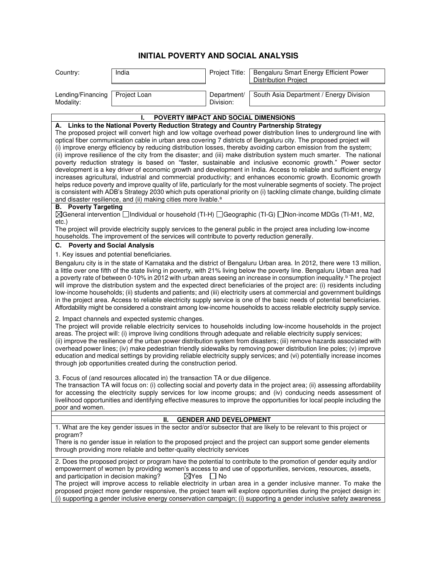# **INITIAL POVERTY AND SOCIAL ANALYSIS**

| Country:                                                                                                                                                                                                                                  | India                                                                                                                                                                                                   | Project Title:           | Bengaluru Smart Energy Efficient Power<br><b>Distribution Project</b>                                                                                                                                                                                                                                                                                                                                                                                                                                                                                                                                                                                                                                                                                                                                                                                                                                                                                                                                                                                                                      |  |  |
|-------------------------------------------------------------------------------------------------------------------------------------------------------------------------------------------------------------------------------------------|---------------------------------------------------------------------------------------------------------------------------------------------------------------------------------------------------------|--------------------------|--------------------------------------------------------------------------------------------------------------------------------------------------------------------------------------------------------------------------------------------------------------------------------------------------------------------------------------------------------------------------------------------------------------------------------------------------------------------------------------------------------------------------------------------------------------------------------------------------------------------------------------------------------------------------------------------------------------------------------------------------------------------------------------------------------------------------------------------------------------------------------------------------------------------------------------------------------------------------------------------------------------------------------------------------------------------------------------------|--|--|
| Lending/Financing<br>Modality:                                                                                                                                                                                                            | Project Loan                                                                                                                                                                                            | Department/<br>Division: | South Asia Department / Energy Division                                                                                                                                                                                                                                                                                                                                                                                                                                                                                                                                                                                                                                                                                                                                                                                                                                                                                                                                                                                                                                                    |  |  |
|                                                                                                                                                                                                                                           | POVERTY IMPACT AND SOCIAL DIMENSIONS                                                                                                                                                                    |                          |                                                                                                                                                                                                                                                                                                                                                                                                                                                                                                                                                                                                                                                                                                                                                                                                                                                                                                                                                                                                                                                                                            |  |  |
|                                                                                                                                                                                                                                           | ı.<br>A. Links to the National Poverty Reduction Strategy and Country Partnership Strategy                                                                                                              |                          |                                                                                                                                                                                                                                                                                                                                                                                                                                                                                                                                                                                                                                                                                                                                                                                                                                                                                                                                                                                                                                                                                            |  |  |
|                                                                                                                                                                                                                                           |                                                                                                                                                                                                         |                          | The proposed project will convert high and low voltage overhead power distribution lines to underground line with<br>optical fiber communication cable in urban area covering 7 districts of Bengaluru city. The proposed project will<br>(i) improve energy efficiency by reducing distribution losses, thereby avoiding carbon emission from the system;<br>(ii) improve resilience of the city from the disaster; and (iii) make distribution system much smarter. The national<br>poverty reduction strategy is based on "faster, sustainable and inclusive economic growth." Power sector<br>development is a key driver of economic growth and development in India. Access to reliable and sufficient energy<br>increases agricultural, industrial and commercial productivity; and enhances economic growth. Economic growth<br>helps reduce poverty and improve quality of life, particularly for the most vulnerable segments of society. The project<br>is consistent with ADB's Strategy 2030 which puts operational priority on (i) tackling climate change, building climate |  |  |
|                                                                                                                                                                                                                                           | and disaster resilience, and (ii) making cities more livable. <sup>a</sup>                                                                                                                              |                          |                                                                                                                                                                                                                                                                                                                                                                                                                                                                                                                                                                                                                                                                                                                                                                                                                                                                                                                                                                                                                                                                                            |  |  |
| <b>B.</b> Poverty Targeting<br>$etc.$ )                                                                                                                                                                                                   |                                                                                                                                                                                                         |                          | ⊠General intervention Individual or household (TI-H) I Geographic (TI-G) I Non-income MDGs (TI-M1, M2,<br>The project will provide electricity supply services to the general public in the project area including low-income                                                                                                                                                                                                                                                                                                                                                                                                                                                                                                                                                                                                                                                                                                                                                                                                                                                              |  |  |
|                                                                                                                                                                                                                                           | households. The improvement of the services will contribute to poverty reduction generally.                                                                                                             |                          |                                                                                                                                                                                                                                                                                                                                                                                                                                                                                                                                                                                                                                                                                                                                                                                                                                                                                                                                                                                                                                                                                            |  |  |
| C. Poverty and Social Analysis                                                                                                                                                                                                            |                                                                                                                                                                                                         |                          |                                                                                                                                                                                                                                                                                                                                                                                                                                                                                                                                                                                                                                                                                                                                                                                                                                                                                                                                                                                                                                                                                            |  |  |
|                                                                                                                                                                                                                                           | 1. Key issues and potential beneficiaries.                                                                                                                                                              |                          |                                                                                                                                                                                                                                                                                                                                                                                                                                                                                                                                                                                                                                                                                                                                                                                                                                                                                                                                                                                                                                                                                            |  |  |
|                                                                                                                                                                                                                                           |                                                                                                                                                                                                         |                          | Bengaluru city is in the state of Karnataka and the district of Bengaluru Urban area. In 2012, there were 13 million,<br>a little over one fifth of the state living in poverty, with 21% living below the poverty line. Bengaluru Urban area had<br>a poverty rate of between 0-10% in 2012 with urban areas seeing an increase in consumption inequality. <sup>b</sup> The project<br>will improve the distribution system and the expected direct beneficiaries of the project are: (i) residents including<br>low-income households; (ii) students and patients; and (iii) electricity users at commercial and government buildings<br>in the project area. Access to reliable electricity supply service is one of the basic needs of potential beneficiaries.<br>Affordability might be considered a constraint among low-income households to access reliable electricity supply service.                                                                                                                                                                                           |  |  |
|                                                                                                                                                                                                                                           | 2. Impact channels and expected systemic changes.<br>through job opportunities created during the construction period.<br>3. Focus of (and resources allocated in) the transaction TA or due diligence. |                          | The project will provide reliable electricity services to households including low-income households in the project<br>areas. The project will: (i) improve living conditions through adequate and reliable electricity supply services;<br>(ii) improve the resilience of the urban power distribution system from disasters; (iii) remove hazards associated with<br>overhead power lines; (iv) make pedestrian friendly sidewalks by removing power distribution line poles; (v) improve<br>education and medical settings by providing reliable electricity supply services; and (vi) potentially increase incomes                                                                                                                                                                                                                                                                                                                                                                                                                                                                     |  |  |
| The transaction TA will focus on: (i) collecting social and poverty data in the project area; (ii) assessing affordability<br>for accessing the electricity supply services for low income groups; and (iv) conducing needs assessment of |                                                                                                                                                                                                         |                          |                                                                                                                                                                                                                                                                                                                                                                                                                                                                                                                                                                                                                                                                                                                                                                                                                                                                                                                                                                                                                                                                                            |  |  |
| poor and women.                                                                                                                                                                                                                           |                                                                                                                                                                                                         |                          | livelihood opportunities and identifying effective measures to improve the opportunities for local people including the                                                                                                                                                                                                                                                                                                                                                                                                                                                                                                                                                                                                                                                                                                                                                                                                                                                                                                                                                                    |  |  |
| <b>GENDER AND DEVELOPMENT</b><br>Н.                                                                                                                                                                                                       |                                                                                                                                                                                                         |                          |                                                                                                                                                                                                                                                                                                                                                                                                                                                                                                                                                                                                                                                                                                                                                                                                                                                                                                                                                                                                                                                                                            |  |  |
| program?                                                                                                                                                                                                                                  | through providing more reliable and better-quality electricity services                                                                                                                                 |                          | 1. What are the key gender issues in the sector and/or subsector that are likely to be relevant to this project or<br>There is no gender issue in relation to the proposed project and the project can support some gender elements                                                                                                                                                                                                                                                                                                                                                                                                                                                                                                                                                                                                                                                                                                                                                                                                                                                        |  |  |
| and participation in decision making?                                                                                                                                                                                                     | $\boxtimes$ Yes                                                                                                                                                                                         | $\Box$ No                | 2. Does the proposed project or program have the potential to contribute to the promotion of gender equity and/or<br>empowerment of women by providing women's access to and use of opportunities, services, resources, assets,<br>The project will improve access to reliable electricity in urban area in a gender inclusive manner. To make the<br>proposed project more gender responsive, the project team will explore opportunities during the project design in:<br>(i) supporting a gender inclusive energy conservation campaign; (i) supporting a gender inclusive safety awareness                                                                                                                                                                                                                                                                                                                                                                                                                                                                                             |  |  |
|                                                                                                                                                                                                                                           |                                                                                                                                                                                                         |                          |                                                                                                                                                                                                                                                                                                                                                                                                                                                                                                                                                                                                                                                                                                                                                                                                                                                                                                                                                                                                                                                                                            |  |  |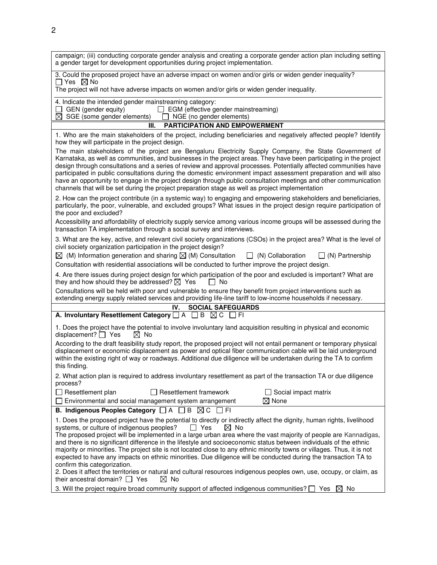| campaign; (iii) conducting corporate gender analysis and creating a corporate gender action plan including setting<br>a gender target for development opportunities during project implementation.                                                                                                                                                                                                                                                                                                                                                                                                                                                                                             |
|------------------------------------------------------------------------------------------------------------------------------------------------------------------------------------------------------------------------------------------------------------------------------------------------------------------------------------------------------------------------------------------------------------------------------------------------------------------------------------------------------------------------------------------------------------------------------------------------------------------------------------------------------------------------------------------------|
| 3. Could the proposed project have an adverse impact on women and/or girls or widen gender inequality?<br>$\Box$ Yes $\boxtimes$ No<br>The project will not have adverse impacts on women and/or girls or widen gender inequality.                                                                                                                                                                                                                                                                                                                                                                                                                                                             |
| 4. Indicate the intended gender mainstreaming category:<br>$\Box$ GEN (gender equity)<br>$\Box$ EGM (effective gender mainstreaming)<br>$\boxtimes$ SGE (some gender elements)<br>NGE (no gender elements)                                                                                                                                                                                                                                                                                                                                                                                                                                                                                     |
| <b>PARTICIPATION AND EMPOWERMENT</b><br>Ш.                                                                                                                                                                                                                                                                                                                                                                                                                                                                                                                                                                                                                                                     |
| 1. Who are the main stakeholders of the project, including beneficiaries and negatively affected people? Identify<br>how they will participate in the project design.                                                                                                                                                                                                                                                                                                                                                                                                                                                                                                                          |
| The main stakeholders of the project are Bengaluru Electricity Supply Company, the State Government of<br>Karnataka, as well as communities, and businesses in the project areas. They have been participating in the project<br>design through consultations and a series of review and approval processes. Potentially affected communities have<br>participated in public consultations during the domestic environment impact assessment preparation and will also<br>have an opportunity to engage in the project design through public consultation meetings and other communication<br>channels that will be set during the project preparation stage as well as project implementation |
| 2. How can the project contribute (in a systemic way) to engaging and empowering stakeholders and beneficiaries,<br>particularly, the poor, vulnerable, and excluded groups? What issues in the project design require participation of<br>the poor and excluded?                                                                                                                                                                                                                                                                                                                                                                                                                              |
| Accessibility and affordability of electricity supply service among various income groups will be assessed during the<br>transaction TA implementation through a social survey and interviews.                                                                                                                                                                                                                                                                                                                                                                                                                                                                                                 |
| 3. What are the key, active, and relevant civil society organizations (CSOs) in the project area? What is the level of<br>civil society organization participation in the project design?<br>$\boxtimes$ (M) Information generation and sharing $\boxtimes$ (M) Consultation<br>$\Box$ (N) Partnership<br>$\Box$ (N) Collaboration<br>Consultation with residential associations will be conducted to further improve the project design.                                                                                                                                                                                                                                                      |
| 4. Are there issues during project design for which participation of the poor and excluded is important? What are<br>they and how should they be addressed? $\boxtimes$ Yes<br>$\Box$ No                                                                                                                                                                                                                                                                                                                                                                                                                                                                                                       |
| Consultations will be held with poor and vulnerable to ensure they benefit from project interventions such as<br>extending energy supply related services and providing life-line tariff to low-income households if necessary.                                                                                                                                                                                                                                                                                                                                                                                                                                                                |
| IV.<br><b>SOCIAL SAFEGUARDS</b>                                                                                                                                                                                                                                                                                                                                                                                                                                                                                                                                                                                                                                                                |
| A. Involuntary Resettlement Category $\Box A$ $\Box B$ $\Box C$ $\Box F$                                                                                                                                                                                                                                                                                                                                                                                                                                                                                                                                                                                                                       |
| 1. Does the project have the potential to involve involuntary land acquisition resulting in physical and economic<br>displacement? $\Box$ Yes<br>$\boxtimes$ No                                                                                                                                                                                                                                                                                                                                                                                                                                                                                                                                |
| According to the draft feasibility study report, the proposed project will not entail permanent or temporary physical<br>displacement or economic displacement as power and optical fiber communication cable will be laid underground<br>within the existing right of way or roadways. Additional due diligence will be undertaken during the TA to confirm<br>this finding.                                                                                                                                                                                                                                                                                                                  |
| 2. What action plan is required to address involuntary resettlement as part of the transaction TA or due diligence<br>process?                                                                                                                                                                                                                                                                                                                                                                                                                                                                                                                                                                 |
| $\Box$ Resettlement plan<br><b>Resettlement framework</b><br>$\Box$ Social impact matrix<br>$\boxtimes$ None<br>$\Box$ Environmental and social management system arrangement                                                                                                                                                                                                                                                                                                                                                                                                                                                                                                                  |
| B. Indigenous Peoples Category $\Box A \Box B \boxtimes C \Box F1$                                                                                                                                                                                                                                                                                                                                                                                                                                                                                                                                                                                                                             |
|                                                                                                                                                                                                                                                                                                                                                                                                                                                                                                                                                                                                                                                                                                |
| 1. Does the proposed project have the potential to directly or indirectly affect the dignity, human rights, livelihood<br>systems, or culture of indigenous peoples?<br>$\Box$ Yes<br>$\boxtimes$ No                                                                                                                                                                                                                                                                                                                                                                                                                                                                                           |
| The proposed project will be implemented in a large urban area where the vast majority of people are Kannadigas,<br>and there is no significant difference in the lifestyle and socioeconomic status between individuals of the ethnic<br>majority or minorities. The project site is not located close to any ethnic minority towns or villages. Thus, it is not<br>expected to have any impacts on ethnic minorities. Due diligence will be conducted during the transaction TA to<br>confirm this categorization.                                                                                                                                                                           |
| 2. Does it affect the territories or natural and cultural resources indigenous peoples own, use, occupy, or claim, as<br>their ancestral domain? $\Box$ Yes<br>$\boxtimes$ No                                                                                                                                                                                                                                                                                                                                                                                                                                                                                                                  |
| 3. Will the project require broad community support of affected indigenous communities? $\square$ Yes<br>$\boxtimes$ No                                                                                                                                                                                                                                                                                                                                                                                                                                                                                                                                                                        |